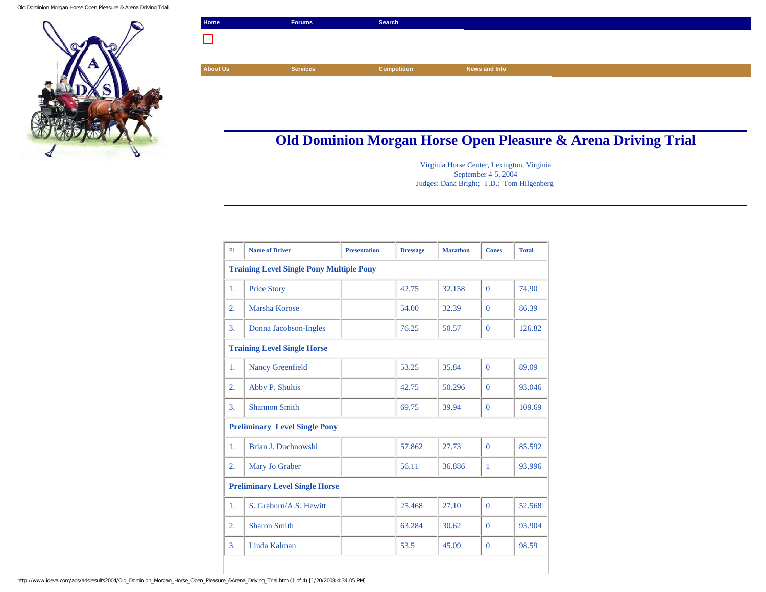

| Home            | <b>Forums</b>   | Search             |               |
|-----------------|-----------------|--------------------|---------------|
|                 |                 |                    |               |
|                 |                 |                    |               |
| <b>About Us</b> | <b>Services</b> | <b>Competition</b> | News and Info |
|                 |                 |                    |               |

## **Old Dominion Morgan Horse Open Pleasure & Arena Driving Trial**

Virginia Horse Center, Lexington, Virginia September 4-5, 2004 Judges: Dana Bright; T.D.: Tom Hilgenberg

| P1                                              | <b>Name of Driver</b>   | <b>Presentation</b> | <b>Dressage</b> | <b>Marathon</b> | <b>Cones</b>   | <b>Total</b> |  |  |
|-------------------------------------------------|-------------------------|---------------------|-----------------|-----------------|----------------|--------------|--|--|
| <b>Training Level Single Pony Multiple Pony</b> |                         |                     |                 |                 |                |              |  |  |
| 1.                                              | <b>Price Story</b>      |                     | 42.75           | 32.158          | $\Omega$       | 74.90        |  |  |
| $\overline{2}$ .                                | Marsha Korose           |                     | 54.00           | 32.39           | $\Omega$       | 86.39        |  |  |
| 3.                                              | Donna Jacobson-Ingles   |                     | 76.25           | 50.57           | $\overline{0}$ | 126.82       |  |  |
| <b>Training Level Single Horse</b>              |                         |                     |                 |                 |                |              |  |  |
| 1.                                              | <b>Nancy Greenfield</b> |                     | 53.25           | 35.84           | $\Omega$       | 89.09        |  |  |
| 2.                                              | Abby P. Shultis         |                     | 42.75           | 50.296          | $\Omega$       | 93.046       |  |  |
| $\overline{3}$ .                                | <b>Shannon Smith</b>    |                     | 69.75           | 39.94           | $\Omega$       | 109.69       |  |  |
| <b>Preliminary Level Single Pony</b>            |                         |                     |                 |                 |                |              |  |  |
| 1.                                              | Brian J. Duchnowshi     |                     | 57.862          | 27.73           | $\Omega$       | 85.592       |  |  |
| 2.                                              | Mary Jo Graber          |                     | 56.11           | 36.886          | 1              | 93.996       |  |  |
| <b>Preliminary Level Single Horse</b>           |                         |                     |                 |                 |                |              |  |  |
| 1.                                              | S. Graburn/A.S. Hewitt  |                     | 25.468          | 27.10           | $\Omega$       | 52.568       |  |  |
| $\overline{2}$ .                                | <b>Sharon Smith</b>     |                     | 63.284          | 30.62           | $\overline{0}$ | 93.904       |  |  |
| 3.                                              | Linda Kalman            |                     | 53.5            | 45.09           | $\overline{0}$ | 98.59        |  |  |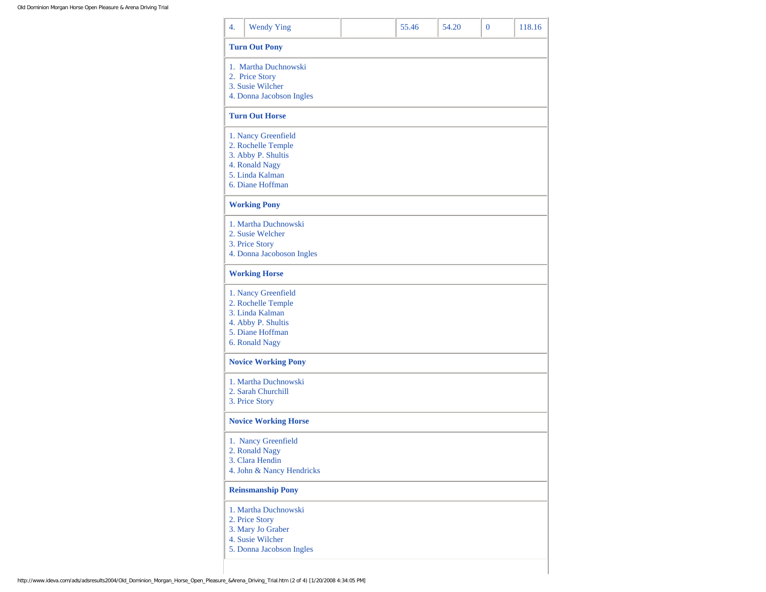| 4. | <b>Wendy Ying</b>           | 55.46 | 54.20 | $\Omega$ | 118.16 |
|----|-----------------------------|-------|-------|----------|--------|
|    | <b>Turn Out Pony</b>        |       |       |          |        |
|    | 1. Martha Duchnowski        |       |       |          |        |
|    | 2. Price Story              |       |       |          |        |
|    | 3. Susie Wilcher            |       |       |          |        |
|    | 4. Donna Jacobson Ingles    |       |       |          |        |
|    | <b>Turn Out Horse</b>       |       |       |          |        |
|    |                             |       |       |          |        |
|    | 1. Nancy Greenfield         |       |       |          |        |
|    | 2. Rochelle Temple          |       |       |          |        |
|    | 3. Abby P. Shultis          |       |       |          |        |
|    | 4. Ronald Nagy              |       |       |          |        |
|    | 5. Linda Kalman             |       |       |          |        |
|    | 6. Diane Hoffman            |       |       |          |        |
|    | <b>Working Pony</b>         |       |       |          |        |
|    | 1. Martha Duchnowski        |       |       |          |        |
|    | 2. Susie Welcher            |       |       |          |        |
|    | 3. Price Story              |       |       |          |        |
|    | 4. Donna Jacoboson Ingles   |       |       |          |        |
|    | <b>Working Horse</b>        |       |       |          |        |
|    |                             |       |       |          |        |
|    | 1. Nancy Greenfield         |       |       |          |        |
|    | 2. Rochelle Temple          |       |       |          |        |
|    | 3. Linda Kalman             |       |       |          |        |
|    | 4. Abby P. Shultis          |       |       |          |        |
|    | 5. Diane Hoffman            |       |       |          |        |
|    | 6. Ronald Nagy              |       |       |          |        |
|    | <b>Novice Working Pony</b>  |       |       |          |        |
|    | 1. Martha Duchnowski        |       |       |          |        |
|    | 2. Sarah Churchill          |       |       |          |        |
|    | 3. Price Story              |       |       |          |        |
|    |                             |       |       |          |        |
|    | <b>Novice Working Horse</b> |       |       |          |        |
|    | 1. Nancy Greenfield         |       |       |          |        |
|    | 2. Ronald Nagy              |       |       |          |        |
|    | 3. Clara Hendin             |       |       |          |        |
|    | 4. John & Nancy Hendricks   |       |       |          |        |
|    | <b>Reinsmanship Pony</b>    |       |       |          |        |
|    | 1. Martha Duchnowski        |       |       |          |        |
|    | 2. Price Story              |       |       |          |        |
|    | 3. Mary Jo Graber           |       |       |          |        |
|    | 4. Susie Wilcher            |       |       |          |        |
|    | 5. Donna Jacobson Ingles    |       |       |          |        |
|    |                             |       |       |          |        |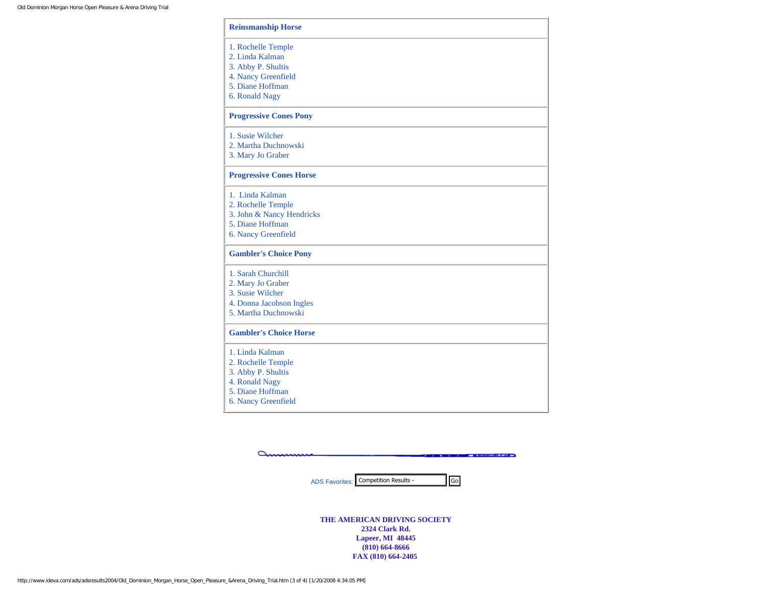| <b>Reinsmanship Horse</b>                                                                                                |
|--------------------------------------------------------------------------------------------------------------------------|
| 1. Rochelle Temple<br>2. Linda Kalman<br>3. Abby P. Shultis<br>4. Nancy Greenfield<br>5. Diane Hoffman<br>6. Ronald Nagy |
| <b>Progressive Cones Pony</b>                                                                                            |
| 1. Susie Wilcher<br>2. Martha Duchnowski<br>3. Mary Jo Graber                                                            |
| <b>Progressive Cones Horse</b>                                                                                           |
| 1. Linda Kalman<br>2. Rochelle Temple<br>3. John & Nancy Hendricks<br>5. Diane Hoffman<br>6. Nancy Greenfield            |
| <b>Gambler's Choice Pony</b>                                                                                             |
| 1. Sarah Churchill<br>2. Mary Jo Graber<br>3. Susie Wilcher<br>4. Donna Jacobson Ingles<br>5. Martha Duchnowski          |
| <b>Gambler's Choice Horse</b>                                                                                            |
| 1. Linda Kalman<br>2. Rochelle Temple<br>3. Abby P. Shultis<br>4. Ronald Nagy<br>5. Diane Hoffman<br>6. Nancy Greenfield |

 $\Delta$ **Company of the American State of the American State State** 

ADS Favorites: Competition Results -

**THE AMERICAN DRIVING SOCIETY 2324 Clark Rd. Lapeer, MI 48445 (810) 664-8666 FAX (810) 664-2405**